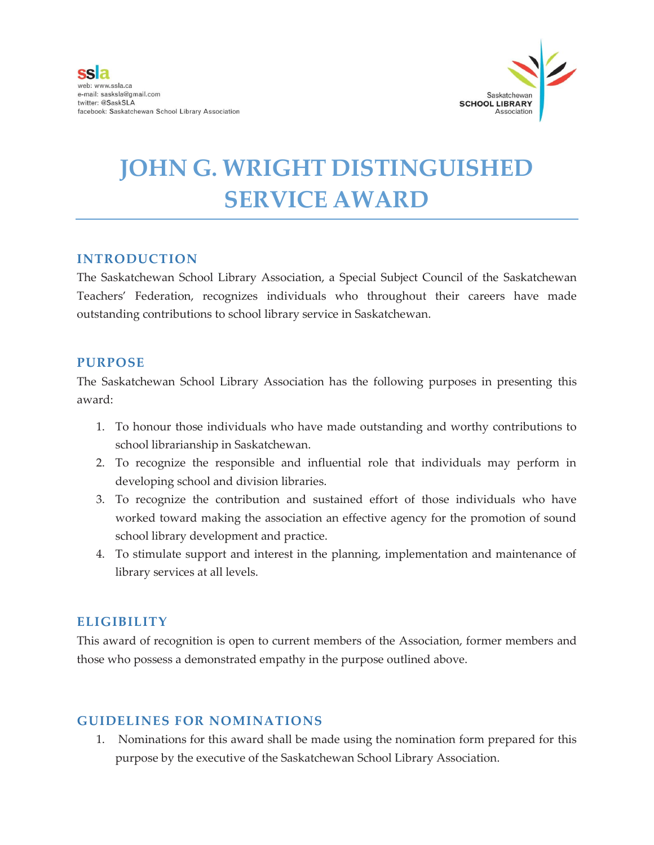

# **JOHN G. WRIGHT DISTINGUISHED SERVICE AWARD**

## **INTRODUCTION**

The Saskatchewan School Library Association, a Special Subject Council of the Saskatchewan Teachers' Federation, recognizes individuals who throughout their careers have made outstanding contributions to school library service in Saskatchewan.

#### **PURPOSE**

The Saskatchewan School Library Association has the following purposes in presenting this award:

- 1. To honour those individuals who have made outstanding and worthy contributions to school librarianship in Saskatchewan.
- 2. To recognize the responsible and influential role that individuals may perform in developing school and division libraries.
- 3. To recognize the contribution and sustained effort of those individuals who have worked toward making the association an effective agency for the promotion of sound school library development and practice.
- 4. To stimulate support and interest in the planning, implementation and maintenance of library services at all levels.

# **ELIGIBILITY**

This award of recognition is open to current members of the Association, former members and those who possess a demonstrated empathy in the purpose outlined above.

## **GUIDELINES FOR NOMINATIONS**

1. Nominations for this award shall be made using the nomination form prepared for this purpose by the executive of the Saskatchewan School Library Association.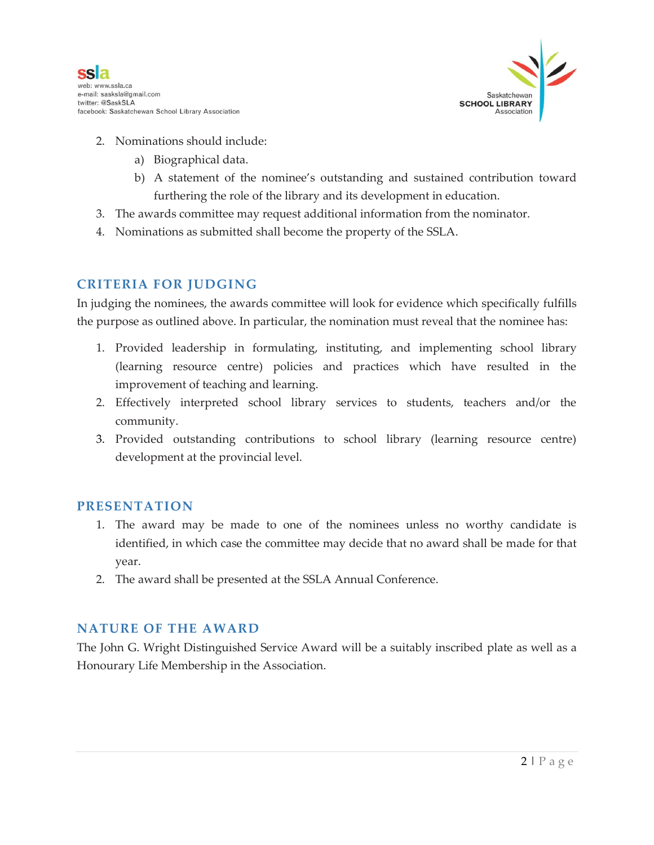

- 2. Nominations should include:
	- a) Biographical data.
	- b) A statement of the nominee's outstanding and sustained contribution toward furthering the role of the library and its development in education.
- 3. The awards committee may request additional information from the nominator.
- 4. Nominations as submitted shall become the property of the SSLA.

## **CRITERIA FOR JUDGING**

In judging the nominees, the awards committee will look for evidence which specifically fulfills the purpose as outlined above. In particular, the nomination must reveal that the nominee has:

- 1. Provided leadership in formulating, instituting, and implementing school library (learning resource centre) policies and practices which have resulted in the improvement of teaching and learning.
- 2. Effectively interpreted school library services to students, teachers and/or the community.
- 3. Provided outstanding contributions to school library (learning resource centre) development at the provincial level.

#### **PRESENTATION**

- 1. The award may be made to one of the nominees unless no worthy candidate is identified, in which case the committee may decide that no award shall be made for that year.
- 2. The award shall be presented at the SSLA Annual Conference.

#### **NATURE OF THE AWARD**

The John G. Wright Distinguished Service Award will be a suitably inscribed plate as well as a Honourary Life Membership in the Association.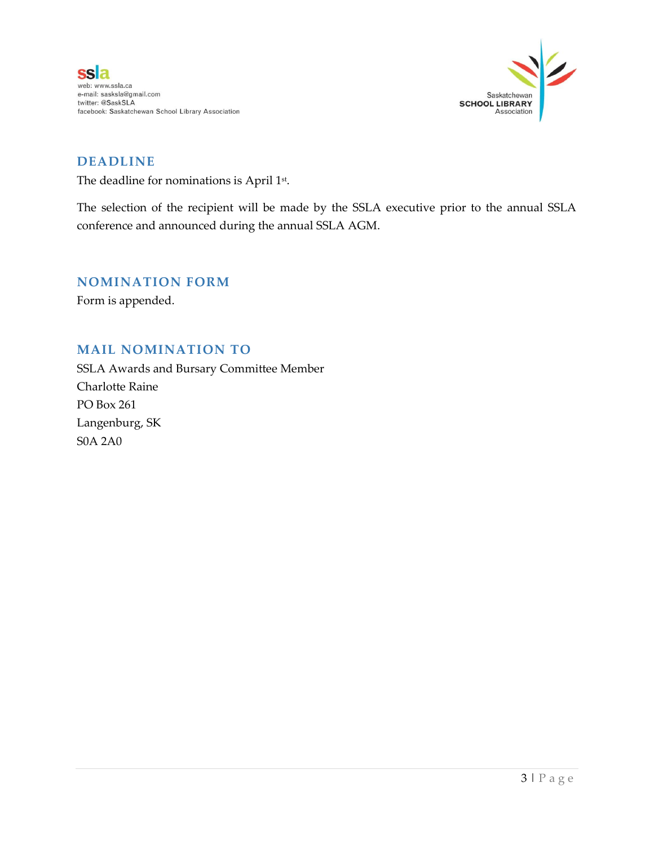

# **DEADLINE**

The deadline for nominations is April 1<sup>st</sup>.

The selection of the recipient will be made by the SSLA executive prior to the annual SSLA conference and announced during the annual SSLA AGM.

#### **NOMINATION FORM**

Form is appended.

## **MAIL NOMINATION TO**

SSLA Awards and Bursary Committee Member Charlotte Raine PO Box 261 Langenburg, SK S0A 2A0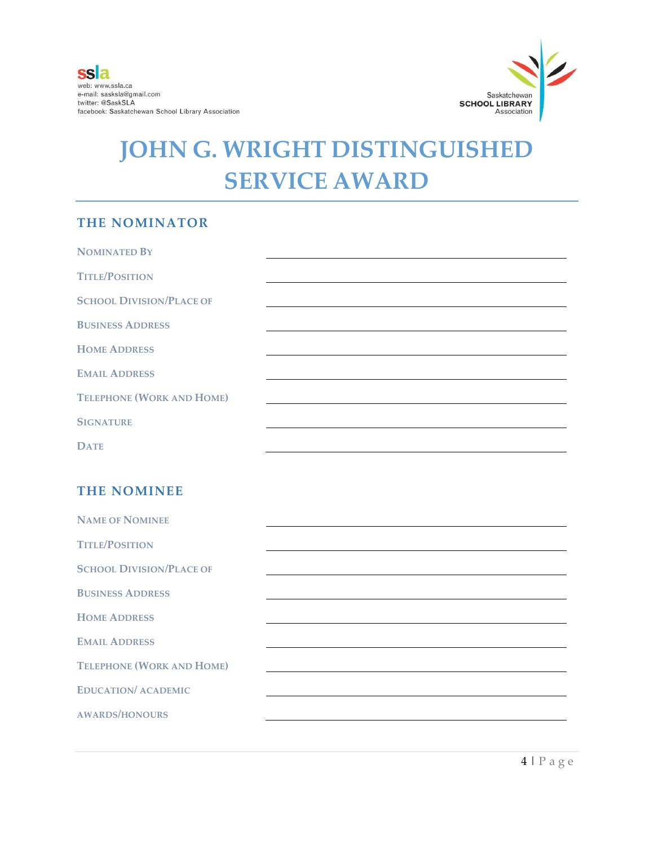

# **JOHN G. WRIGHT DISTINGUISHED SERVICE AWARD**

# **THE NOMINATOR**

| <b>NOMINATED BY</b>              |  |
|----------------------------------|--|
| <b>TITLE/POSITION</b>            |  |
| <b>SCHOOL DIVISION/PLACE OF</b>  |  |
| <b>BUSINESS ADDRESS</b>          |  |
| <b>HOME ADDRESS</b>              |  |
| <b>EMAIL ADDRESS</b>             |  |
| <b>TELEPHONE (WORK AND HOME)</b> |  |
| <b>SIGNATURE</b>                 |  |
| <b>DATE</b>                      |  |

## **THE NOMINEE**

| <b>NAME OF NOMINEE</b>           |  |
|----------------------------------|--|
| <b>TITLE/POSITION</b>            |  |
| <b>SCHOOL DIVISION/PLACE OF</b>  |  |
| <b>BUSINESS ADDRESS</b>          |  |
| <b>HOME ADDRESS</b>              |  |
| <b>EMAIL ADDRESS</b>             |  |
| <b>TELEPHONE (WORK AND HOME)</b> |  |
| <b>EDUCATION/ ACADEMIC</b>       |  |
| <b>AWARDS/HONOURS</b>            |  |
|                                  |  |